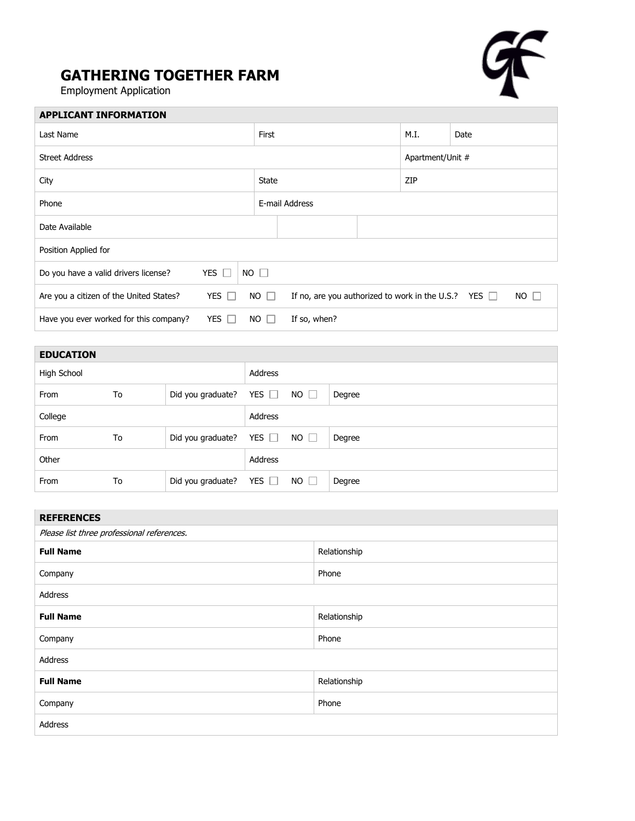## **GATHERING TOGETHER FARM**

Employment Application

Г



| <b>APPLICANT INFORMATION</b>                                                                                                                   |  |                |                  |      |  |  |
|------------------------------------------------------------------------------------------------------------------------------------------------|--|----------------|------------------|------|--|--|
| Last Name                                                                                                                                      |  | <b>First</b>   | M.I.             | Date |  |  |
| <b>Street Address</b>                                                                                                                          |  |                | Apartment/Unit # |      |  |  |
| City                                                                                                                                           |  | <b>State</b>   |                  | ZIP  |  |  |
| Phone                                                                                                                                          |  | E-mail Address |                  |      |  |  |
| Date Available                                                                                                                                 |  |                |                  |      |  |  |
| Position Applied for                                                                                                                           |  |                |                  |      |  |  |
| YES $\Box$<br>$NO$ $\Box$<br>Do you have a valid drivers license?                                                                              |  |                |                  |      |  |  |
| $NO$ $\Box$<br>YES $\Box$<br>$NO \Box$<br>If no, are you authorized to work in the U.S.? YES $\Box$<br>Are you a citizen of the United States? |  |                |                  |      |  |  |
| Have you ever worked for this company?<br>YES $\Box$<br>$NO$ $\Box$<br>If so, when?                                                            |  |                |                  |      |  |  |

| <b>EDUCATION</b> |    |                   |            |             |        |
|------------------|----|-------------------|------------|-------------|--------|
| High School      |    |                   | Address    |             |        |
| From             | To | Did you graduate? | YES $\Box$ | $NO$ $\Box$ | Degree |
| College          |    |                   | Address    |             |        |
| From             | To | Did you graduate? | YES $\Box$ | $NO$ $\Box$ | Degree |
| Other            |    |                   | Address    |             |        |
| From             | To | Did you graduate? | YES $\Box$ | $NO \Box$   | Degree |

| <b>REFERENCES</b>                          |              |  |  |  |
|--------------------------------------------|--------------|--|--|--|
| Please list three professional references. |              |  |  |  |
| <b>Full Name</b>                           | Relationship |  |  |  |
| Company                                    | Phone        |  |  |  |
| Address                                    |              |  |  |  |
| <b>Full Name</b>                           | Relationship |  |  |  |
| Company                                    | Phone        |  |  |  |
| Address                                    |              |  |  |  |
| <b>Full Name</b>                           | Relationship |  |  |  |
| Company                                    | Phone        |  |  |  |
| Address                                    |              |  |  |  |